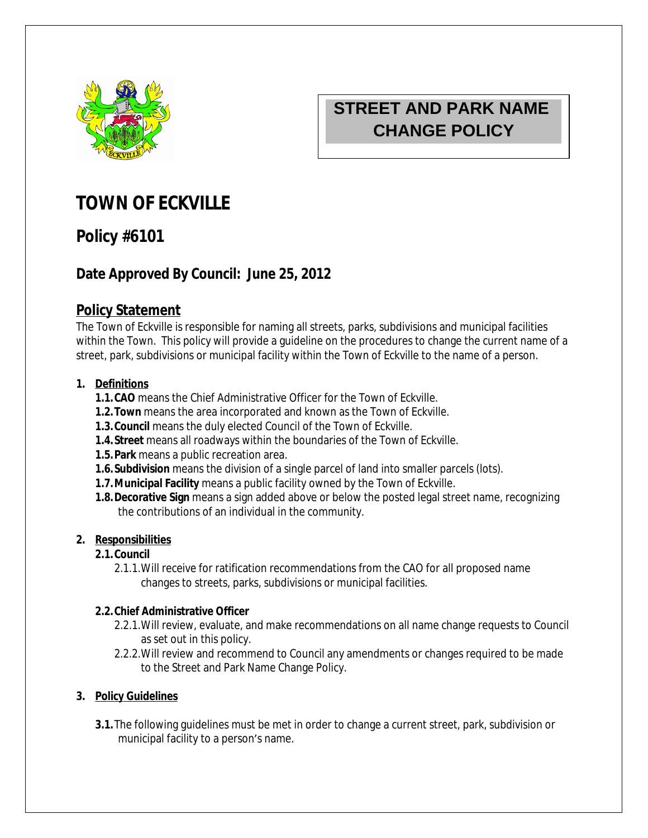

# **STREET AND PARK NAME CHANGE POLICY**

# **TOWN OF ECKVILLE**

## **Policy #6101**

## **Date Approved By Council: June 25, 2012**

## **Policy Statement**

The Town of Eckville is responsible for naming all streets, parks, subdivisions and municipal facilities within the Town. This policy will provide a guideline on the procedures to change the current name of a street, park, subdivisions or municipal facility within the Town of Eckville to the name of a person.

#### **1. Definitions**

- **1.1.CAO** means the Chief Administrative Officer for the Town of Eckville.
- **1.2.Town** means the area incorporated and known as the Town of Eckville.
- **1.3.Council** means the duly elected Council of the Town of Eckville.
- **1.4.Street** means all roadways within the boundaries of the Town of Eckville.
- **1.5.Park** means a public recreation area.
- **1.6.Subdivision** means the division of a single parcel of land into smaller parcels (lots).
- **1.7.Municipal Facility** means a public facility owned by the Town of Eckville.
- **1.8.Decorative Sign** means a sign added above or below the posted legal street name, recognizing the contributions of an individual in the community.

#### **2. Responsibilities**

#### **2.1.Council**

2.1.1.Will receive for ratification recommendations from the CAO for all proposed name changes to streets, parks, subdivisions or municipal facilities.

#### **2.2.Chief Administrative Officer**

- 2.2.1.Will review, evaluate, and make recommendations on all name change requests to Council as set out in this policy.
- 2.2.2.Will review and recommend to Council any amendments or changes required to be made to the Street and Park Name Change Policy.

#### **3. Policy Guidelines**

**3.1.**The following guidelines must be met in order to change a current street, park, subdivision or municipal facility to a person's name.